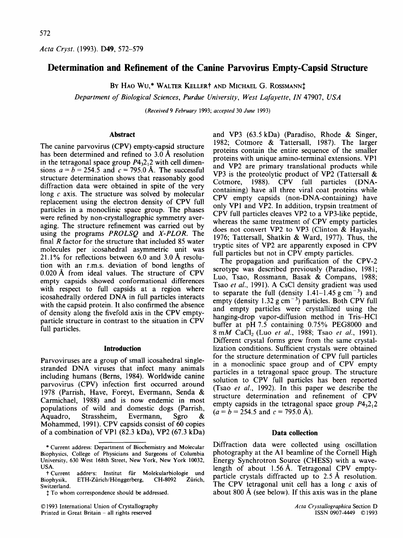*Acta Cryst.* (1993). D49, 572-579

# **Determination and Refinement of the Canine Parvovirus Empty-Capsid Structure**

BY HAO WU,<sup>\*</sup> WALTER KELLER<sup>†</sup> AND MICHAEL G. ROSSMANN<sup>†</sup>

*Department of Biological Sciences, Purdue University, West Lafayette, IN* 47907, *USA* 

*(Received 9 February* 1993; *accepted* 30 *June* 1993)

### **Abstract**

The canine parvovirus (CPV) empty-capsid structure has been determined and refined to 3.0 A resolution in the tetragonal space group  $P4<sub>3</sub>2<sub>1</sub>2$  with cell dimensions  $a = b = 254.5$  and  $c = 795.0$  Å. The successful structure determination shows that reasonably good diffraction data were obtained in spite of the very long  $c$  axis. The structure was solved by molecular replacement using the electron density of CPV full particles in a monoclinic space group. The phases were refined by non-crystallographic symmetry averaging. The structure refinement was carried out by using the programs *PROLSQ* and *X-PLOR.* The final  *factor for the structure that included 85 water* molecules per icosahedral asymmetric unit was 21.1% for reflections between 6.0 and 3.0 A resolution with an r.m.s, deviation of bond lengths of 0.020 A from ideal values. The structure of CPV empty capsids showed conformational differences with respect to full capsids at a region where icosahedrally ordered DNA in full particles interacts with the capsid protein. It also confirmed the absence of density along the fivefold axis in the CPV emptyparticle structure in contrast to the situation in CPV full particles.

### **Introduction**

Parvoviruses are a group of small icosahedral singlestranded DNA viruses that infect many animals including humans (Berns, 1984). Worldwide canine parvovirus (CPV) infection first occurred around 1978 (Parrish, Have, Foreyt, Evermann, Senda & Carmichael, 1988) and is now endemic in most populations of wild and domestic dogs (Parrish, Aquadro, Strassheim, Evermann, Sgro & Mohammed, 1991). CPV capsids consist of 60 copies of a combination of VP1 (82.3 kDa), VP2 (67.3 kDa)

© 1993 International Union of Crystallography Printed in Great Britain - all rights reserved

and VP3 (63.5 kDa) (Paradiso, Rhode & Singer, 1982; Cotmore & Tattersall, 1987). The larger proteins contain the entire sequence of the smaller proteins with unique amino-terminal extensions. VP1 and VP2 are primary translational products while VP3 is the proteolytic product of VP2 (Tattersall & Cotmore, 1988). CPV full particles (DNAcontaining) have all three viral coat proteins while CPV empty capsids (non-DNA-containing) have only VP1 and VP2. In addition, trypsin treatment of CPV full particles cleaves VP2 to a VP3-1ike peptide, whereas the same treatment of CPV empty particles does not convert VP2 to VP3 (Clinton & Hayashi, 1976; Tattersall, Shatkin & Ward, 1977). Thus, the tryptic sites of VP2 are apparently exposed in CPV full particles but not in CPV empty particles.

The propagation and purification of the CPV-2 serotype was described previously (Paradiso, 1981; Luo, Tsao, Rossmann, Basak & Compans, 1988; Tsao *et al.,* 1991). A CsC1 density gradient was used to separate the full (density  $1.41-1.45$  g cm<sup>-3</sup>) and empty (density  $1.32 \text{ g cm}^{-3}$ ) particles. Both CPV full and empty particles were crystallized using the hanging-drop vapor-diffusion method in Tris-HC1 buffer at pH 7.5 containing 0.75% PEG8000 and 8 mM CaC12 (Luo *et al.,* 1988; Tsao *et al.,* 1991). Different crystal forms grew from the same crystallization conditions. Sufficient crystals were obtained for the structure determination of CPV full particles in a monoclinic space group and of CPV empty particles in a tetragonal space group. The structure solution to CPV full particles has been reported (Tsao *et al.,* 1992). In this paper we describe the structure determination and refinement of CPV empty capsids in the tetragonal space group  $P_{3,2,1}$  $(a = b = 254.5 \text{ and } c = 795.0 \text{ Å}).$ 

### **Data collection**

Diffraction data were collected using oscillation photography at the A1 beamline of the Cornell High Energy Synchrotron Source (CHESS) with a wavelength of about 1.56A. Tetragonal CPV emptyparticle crystals diffracted up to 2.5 A resolution. The CPV tetragonal unit cell has a long c axis of about 800 A (see below). If this axis was in the plane

<sup>\*</sup> Current address: Department of Biochemistry and Molecular Biophysics, College of Physicians and Surgeons of Columbia University, 630 West 168th Street, New York, New York 10032, USA.<br>† Current

addre~s: Institut für Molekularbiologie und<br>ETH-Zürich/Hönggerberg. CH-8092 Zürich. Biophysik, ETH-Zürich/Hönggerberg, CH-8092 Switzerland.

 $<sup>1</sup>$  To whom correspondence should be addressed.</sup>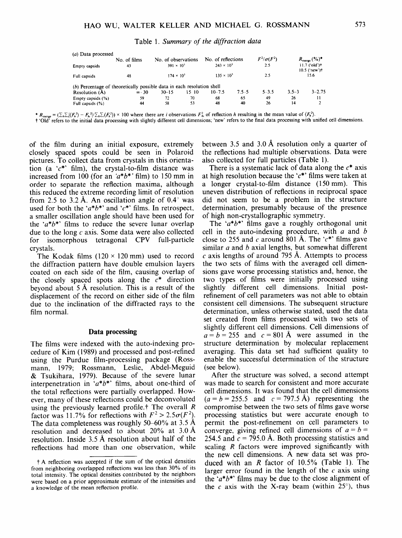Table 1. *Summary of the diffraction data* 

| $(a)$ Data processed                                                   |               |                                                   |       |                     |                                                      |                   |                         |            |
|------------------------------------------------------------------------|---------------|---------------------------------------------------|-------|---------------------|------------------------------------------------------|-------------------|-------------------------|------------|
|                                                                        | No. of films  | No. of observations                               |       | No. of reflections  |                                                      | $F^2/\sigma(F^2)$ | $R_{\text{merge}}$ (%)* |            |
| Empty capsids                                                          | 43            | $243 \times 10^{3}$<br>2.5<br>$391 \times 10^{3}$ |       |                     | $11.7$ ('old') $\dagger$<br>$10.5$ ('new') $\dagger$ |                   |                         |            |
| Full capsids                                                           | 48            | $174 \times 10^{3}$                               |       | $135 \times 10^{3}$ |                                                      | 2.5               | 15.6                    |            |
| (b) Percentage of theoretically possible data in each resolution shell |               |                                                   |       |                     |                                                      |                   |                         |            |
| Resolution $(\AA)$                                                     | $\infty$ - 30 | $30 - 15$                                         | 15 10 | $10 - 7.5$          | $7.5 - 5$                                            | $5 - 3.5$         | $3.5 - 3$               | $3 - 2.75$ |
| Empty capsids (%)                                                      | 59            | 72                                                | 70    | 68                  | 65                                                   | 49                | 26                      | 11         |
| Full capsids $(\% )$                                                   | 44            | 58                                                | 53    | 48                  | 40                                                   | 26                | 14                      |            |

 $\mathcal{L}_{\mathbf{r}} = (\sum_{k} \sum_{k} | \langle F_{k}^{2} \rangle - F_{k}^{2} | / \sum_{k} \sum_{k} \langle F_{k}^{2} \rangle) \times 100$  where there are *i* observations  $F_{k}^{2}$  of reflection h resulting in the mean value of  $\langle F_{k}^{2} \rangle$ .

t 'Old' refers to the initial data processing with slightly different cell dimensions; 'new' refers to the final data processing with unified cell dimensions.

of the film during an initial exposure, extremely closely spaced spots could be seen in Polaroid pictures. To collect data from crystals in this orientation (a  $c^*$  film), the crystal-to-film distance was increased from 100 (for an *'a'b\*'* film) to 150 mm in order to separate the reflection maxima, although this reduced the extreme recording limit of resolution from 2.5 to 3.2 Å. An oscillation angle of  $0.4^\circ$  was used for both the ' $a^*b^*$ ' and ' $c^*$ ' films. In retrospect, a smaller oscillation angle should have been used for the  $a^*b^*$  films to reduce the severe lunar overlap due to the long  $c$  axis. Some data were also collected for isomorphous tetragonal CPV full-particle crystals.

The Kodak films  $(120 \times 120 \text{ mm})$  used to record the diffraction pattern have double emulsion layers coated on each side of the film, causing overlap of the closely spaced spots along the  $c^*$  direction beyond about 5 A resolution. This is a result of the displacement of the record on either side of the film due to the inclination of the diffracted rays to the film normal.

#### **Data processing**

The films were indexed with the auto-indexing procedure of Kim (1989) and processed and post-refined using the Purdue film-processing package (Rossmann, 1979; Rossmann, Leslie, Abdel-Meguid & Tsukihara, 1979). Because of the severe lunar interpenetration in  $a * b *$  films, about one-third of the total reflections were partially overlapped. However, many of these reflections could be deconvoluted using the previously learned profile.<sup>†</sup> The overall  $$ factor was 11.7% for reflections with  $F^2 > 2.5\sigma(F^2)$ . The data completeness was roughly  $50-60\%$  at 3.5 Å resolution and decreased to about  $20\%$  at 3.0 Å resolution. Inside 3.5 A resolution about half of the reflections had more than one observation, while between 3.5 and 3.0 A resolution only a quarter of the reflections had multiple observations. Data were also collected for full particles (Table 1).

There is a systematic lack of data along the  $c^*$  axis at high resolution because the ' $c^*$ ' films were taken at a longer crystal-to-film distance (150 mm). This uneven distribution of reflections in reciprocal space did not seem to be a problem in the structure determination, presumably because of the presence of high non-crystallographic symmetry.

The  $a^*b^*$  films gave a roughly orthogonal unit cell in the auto-indexing procedure, with  $a$  and  $b$ close to 255 and c around 801 Å. The ' $c^*$ ' films gave similar  $a$  and  $b$  axial lengths, but somewhat different  $c$  axis lengths of around 795 Å. Attempts to process the two sets of films with the averaged cell dimensions gave worse processing statistics and, hence, the two types of films were initially processed using slightly different cell dimensions. Initial postrefinement of cell parameters was not able to obtain consistent cell dimensions. The subsequent structure determination, unless otherwise stated, used the data set created from films processed with two sets of slightly different cell dimensions. Cell dimensions of  $a=b=255$  and  $c=801$  Å were assumed in the structure determination by molecular replacement averaging. This data set had sufficient quality to enable the successful determination of the structure (see below).

After the structure was solved, a second attempt was made to search for consistent and more accurate cell dimensions. It was found that the cell dimensions  $(a = b = 255.5$  and  $c = 797.5$  Å) representing the compromise between the two sets of films gave worse processing statistics but were accurate enough to permit the post-refinement on cell parameters to converge, giving refined cell dimensions of  $a = b =$ 254.5 and  $c = 795.0$  Å. Both processing statistics and scaling R factors were improved significantly with the new cell dimensions. A new data set was produced with an R factor of 10.5% (Table 1). The larger error found in the length of the  $c$  axis using the  $a^*b^*$  films may be due to the close alignment of the c axis with the X-ray beam (within  $25^\circ$ ), thus

t A reflection was accepted if the sum of the optical densities from neighboring overlapped reflections was less than 30% of its total intensity. The optical densities contributed by the neighbors were based on a prior approximate estimate of the intensities and a knowledge of the mean reflection profile.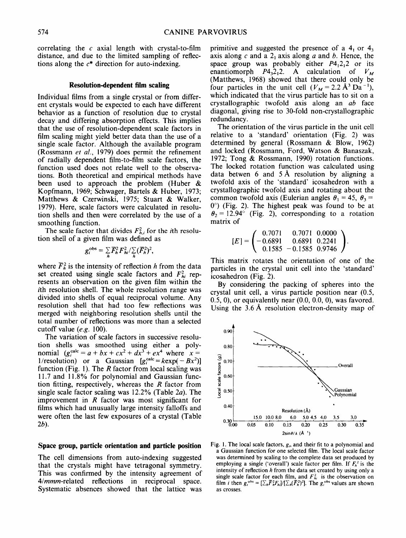correlating the  $c$  axial length with crystal-to-film distance, and due to the limited sampling of reflections along the  $c^*$  direction for auto-indexing.

#### **Resolution-dependent film scaling**

Individual films from a single crystal or from different crystals would be expected to each have different behavior as a function of resolution due to crystal decay and differing absorption effects. This implies that the use of resolution-dependent scale factors in film scaling might yield better data than the use of a single scale factor. Although the available program (Rossmann *et al.,* 1979) does permit the refinement of radially dependent film-to-film scale factors, the function used does not relate well to the observations. Both theoretical and empirical methods have been used to approach the problem (Huber & Kopfmann, 1969; Schwager, Bartels & Huber, 1973; Matthews & Czerwinski, 1975; Stuart & Walker, 1979). Here, scale factors were calculated in resolution shells and then were correlated by the use of a smoothing function.

The scale factor that divides  $F_h^2$  for the *i*th resolution shell of a given film was defined as

$$
g_i^{\rm obs} = \sum_h \overline{F}_h^2 F_{hi}^2 / \sum_h (\overline{F}_h^2)^2,
$$

where  $\overline{F}_h^2$  is the intensity of reflection h from the data set created using single scale factors and  $F_h^2$  represents an observation on the given film within the ith resolution shell. The whole resolution range was divided into shells of equal reciprocal volume. Any resolution shell that had too few reflections was merged with neighboring resolution shells until the total number of reflections was more than a selected cutoff value *(e.g.* 100).

The variation of scale factors in successive resolution shells was smoothed using either a polynomial  $(g<sub>i</sub><sup>calc</sup> = a + bx + cx<sup>2</sup> + dx<sup>3</sup> + ex<sup>4</sup>$  where  $x =$ 1/resolution) or a Gaussian  $[g_i^{\text{calc}} = k \exp(-Bx^2)]$ function (Fig. 1). The  $R$  factor from local scaling was 11.7 and 11.8% for polynomial and Gaussian function fitting, respectively, whereas the  $R$  factor from single scale factor scaling was 12.2% (Table 2a). The improvement in  $R$  factor was most significant for films which had unusually large intensity falloffs and were often the last few exposures of a crystal (Table 2b).

### **Space group, particle orientation and particle position**

The cell dimensions from auto-indexing suggested that the crystals might have tetragonal symmetry. This was confirmed by the intensity agreement of *4/mmm-related* reflections in reciprocal space. Systematic absences showed that the lattice was

primitive and suggested the presence of a  $4<sub>1</sub>$  or  $4<sub>3</sub>$ axis along c and a  $2<sub>1</sub>$  axis along a and b. Hence, the space group was probably either  $P4<sub>1</sub>2<sub>1</sub>2$  or its enantiomorph  $P4,2,2$ . A calculation of  $V_M$ (Matthews, 1968) showed that there could only be four particles in the unit cell  $(V_M = 2.2 \text{ Å}^3 \text{ Da}^{-1})$ , which indicated that the virus particle has to sit on a crystallographic twofold axis along an *ab* face diagonal, giving rise to 30-fold non-crystallographic redundancy.

The orientation of the virus particle in the unit cell relative to a 'standard' orientation (Fig. 2) was determined by general (Rossmann & Blow, 1962) and locked (Rossmann, Ford, Watson & Banaszak, 1972; Tong & Rossmann, 1990) rotation functions. The locked rotation function was calculated using data betwen 6 and 5 A resolution by aligning a twofold axis of the 'standard' icosahedron with a crystallographic twofold axis and rotating about the common twofold axis (Eulerian angles  $\theta_1 = 45$ ,  $\theta_3 =$  $0^{\circ}$ ) (Fig. 2). The highest peak was found to be at  $\theta_2 = 12.94^\circ$  (Fig. 2), corresponding to a rotation matrix of

$$
[E] = \begin{pmatrix} 0.7071 & 0.7071 & 0.0000 \\ -0.6891 & 0.6891 & 0.2241 \\ 0.1585 & -0.1585 & 0.9746 \end{pmatrix}.
$$

This matrix rotates the orientation of one of the particles in the crystal unit cell into the 'standard' icosahedron (Fig. 2).

By considering the packing of spheres into the crystal unit cell, a virus particle position near (0.5,  $(0.5, 0)$ , or equivalently near  $(0.0, 0.0, 0)$ , was favored. Using the 3.6 A resolution electron-density map of



Fig. 1. The local scale factors, *g,,* and their fit to a polynomial and a Gaussian function for one selected film. The local scale factor was determined by scaling to the complete data set produced by employing a single ('overall') scale factor per film. If  $F_h^2$  is the intensity of reflection h from the data set created by using only a single scale factor for each film, and  $F_{hi}^2$  is the observation on film *i* then  $g_i^{obs} = [\sum_h \overline{F}_h^2 F_{hi}] / [\sum_h (\overline{F}_h^2)^2]$ . The  $g_i^{obs}$  values are shown as crosses.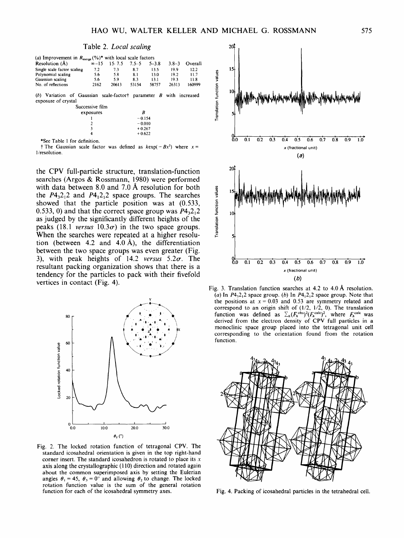| Table 2. Local scaling |  |  |
|------------------------|--|--|
|------------------------|--|--|

| Resolution $(\AA)$          | $\infty - 15$ | 15.7.5 | $7.5 - 5$ | $5 - 38$ | $3.8 - 3$ | Overall |
|-----------------------------|---------------|--------|-----------|----------|-----------|---------|
| Single scale factor scaling | 7.2           | 7.3    | 8.7       | 13.5     | 19.9      | 12.2    |
| Polynomial scaling          | 5.6           | 5.8    | 8.1       | 13.0     | 19.2      | 117     |
| Gaussian scaling            | 5.6           | 59     | 8.3       | 13.1     | 193       | 11.8    |
| No. of reflections          | 2162          | 20613  | 53154     | 58757    | 26313     | 160999  |

(b) Variation of Gaussian scale-factort parameter B with increased exposure of crystal

> $-0.154$  $-0.010$  $+0.267$  $+0.622$

| Successive film |        |
|-----------------|--------|
| exposures       | R      |
|                 | $-0.1$ |
|                 | $-0.0$ |
| ٦               | $+0.2$ |

\*See Table 1 for definition.

 $\dagger$  The Gaussian scale factor was defined as  $kexp(-Bx^2)$  where  $x =$ 1/resolution.

the CPV full-particle structure, translation-function searches (Argos & Rossmann, 1980) were performed with data between 8.0 and 7.0  $\AA$  resolution for both the  $P_1$ 4,2,2 and  $P_1$ 4,2,2 space groups. The searches showed that the particle position was at (0.533, 0.533, 0) and that the correct space group was  $P4<sub>3</sub>2<sub>1</sub>2$ as judged by the significantly different heights of the peaks (18.1 *versus*  $10.3\sigma$ ) in the two space groups. When the searches were repeated at a higher resolution (between 4.2 and 4.0 Å), the differentiation between the two space groups was even greater (Fig. 3), with peak heights of  $14.2$  *versus*  $5.2\sigma$ . The resultant packing organization shows that there is a tendency for the particles to pack with their fivefold vertices in contact (Fig. 4).



Fig. 2. The locked rotation function of tetragonal CPV. The standard icosahedral orientation is given in the top right-hand corner insert. The standard icosahedron is rotated to place its  $x$ axis along the crystallographic (110) direction and rotated again about the common superimposed axis by setting the Eulerian angles  $\theta_1 = 45$ ,  $\theta_3 = 0^\circ$  and allowing  $\theta_2$  to change. The locked rotation function value is the sum of the general rotation function for each of the icosahedral symmetry axes.



Fig. 3. Translation function searches at  $4.2$  to  $4.0 \text{ Å}$  resolution. (a) In  $P4_32_12$  space group. (b) In  $P4_12_12$  space group. Note that the positions at  $x = 0.03$  and 0.53 are symmetry related and correspond to an origin shift of (1/2, 1/2, 0). The translation function was defined as  $\sum_h (F_h^{\text{obs}})^2 (F_h^{\text{calc}})^2$ , where  $F_h^{\text{calc}}$  was derived from the electron density of CPV full particles in a monoclinic space group placed into the tetragonal unit cell corresponding to the orientation found from the rotation function.



Fig. 4. Packing of icosahedral particles in the tetrahedral cell.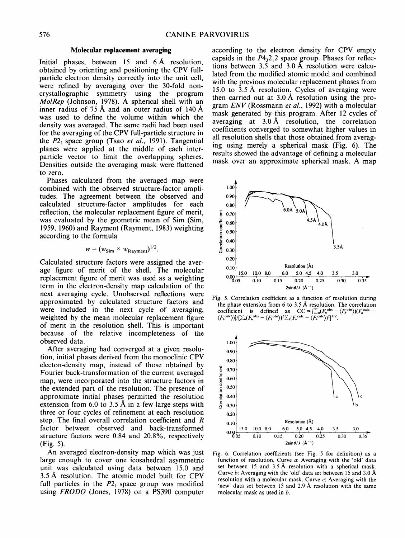#### **Molecular replacement averaging**

Initial phases, between  $15$  and  $6 \text{\AA}$  resolution, obtained by orienting and positioning the CPV fullparticle electron density correctly into the unit cell, were refined by averaging over the 30-fold noncrystallographic symmetry using the program *MolRep* (Johnson, 1978). A spherical shell with an inner radius of 75 A and an outer radius of 140 A was used to define the volume within which the density was averaged. The same radii had been used for the averaging of the CPV full-particle structure in the  $P2_1$  space group (Tsao *et al.*, 1991). Tangential planes were applied at the middle of each interparticle vector to limit the overlapping spheres. Densities outside the averaging mask were flattened to zero.

Phases calculated from the averaged map were combined with the observed structure-factor amplitudes. The agreement between the observed and calculated structure-factor amplitudes for each reflection, the molecular replacement figure of merit, was evaluated by the geometric mean of Sim (Sim, 1959, 1960) and Rayment (Rayment, 1983) weighting according to the formula

$$
w = (w_{\text{Sim}} \times w_{\text{Rayment}})^{1/2}.
$$

Calculated structure factors were assigned the average figure of merit of the shell. The molecular replacement figure of merit was used as a weighting term in the electron-density map calculation of the next averaging cycle. Unobserved reflections were approximated by calculated structure factors and were included in the next cycle of averaging, weighted by the mean molecular replacement figure of merit in the resolution shell. This is important because of the relative incompleteness of the observed data.

After averaging had converged at a given resolution, initial phases derived from the monoclinic CPV electon-density map, instead of those obtained by Fourier back-transformation of the current averaged map, were incorporated into the structure factors in the extended part of the resolution. The presence of approximate initial phases permitted the resolution extension from 6.0 to 3.5 Å in a few large steps with three or four cycles of refinement at each resolution step. The final overall correlation coefficient and R factor between observed and back-transformed structure factors were 0.84 and 20.8%, respectively (Fig. 5).

An averaged electron-density map which was just large enough to cover one icosahedral asymmetric unit was calculated using data between 15.0 and 3.5 A resolution. The atomic model built for CPV full particles in the  $P2<sub>1</sub>$  space group was modified using *FRODO* (Jones, 1978) on a PS390 computer

according to the electron density for CPV empty capsids in the  $P4<sub>3</sub>2<sub>1</sub>2$  space group. Phases for reflections between 3.5 and 3.0 A resolution were calculated from the modified atomic model and combined with the previous molecular replacement phases from 15.0 to 3.5 A resolution. Cycles of averaging were then carried out at 3.0 A resolution using the program *ENV* (Rossmann *et al.,* 1992) with a molecular mask generated by this program. After 12 cycles of averaging at 3.0 A resolution, the correlation coefficients converged to somewhat higher values in all resolution shells that those obtained from averaging using merely a spherical mask (Fig. 6). The results showed the advantage of defining a molecular mask over an approximate spherical mask. A map

![](_page_4_Figure_9.jpeg)

Fig. 5. Correlation coefficient as a function of resolution during the phase extension from 6 to 3.5 Å resolution. The correlation coefficient is defined as  $CC = [\sum_h (F_h^{\text{obs}} - \langle F_h^{\text{obs}}) \rangle (F_h^{\text{calc}} - \langle F_h^{\text{calc}}) \rangle]^{1/2}$ .

![](_page_4_Figure_11.jpeg)

Fig. 6. Correlation coefficients (see Fig. 5 for definition) as a function of resolution. Curve a: Averaging with the 'old' data set between 15 and 3.5 Å resolution with a spherical mask. Curve b: Averaging with the 'old' data set between 15 and 3.0 A resolution with a molecular mask. Curve c: Averaging with the 'new' data set between 15 and 2.9 A resolution with the same molecular mask as used in  $b$ .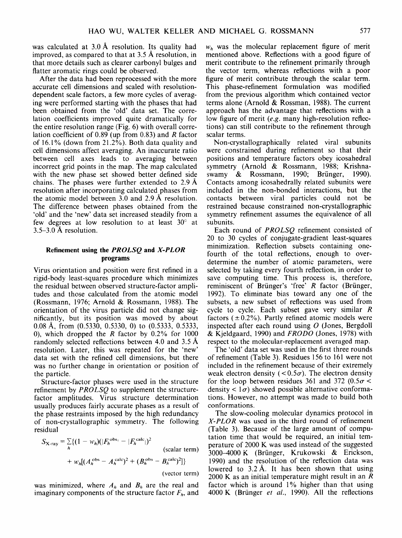was calculated at 3.0 Å resolution. Its quality had improved, as compared to that at 3.5 A resolution, in that more details such as clearer carbonyl bulges and flatter aromatic rings could be observed.

After the data had been reprocessed with the more accurate cell dimensions and scaled with resolutiondependent scale factors, a few more cycles of averaging were performed starting with the phases that had been obtained from the 'old' data set. The correlation coefficients improved quite dramatically for the entire resolution range (Fig. 6) with overall correlation coefficient of 0.89 (up from 0.83) and R factor of 16.1% (down from 21.2%). Both data quality and cell dimensions affect averaging. An inaccurate ratio between cell axes leads to averaging between incorrect grid points in the map. The map calculated with the new phase set showed better defined side chains. The phases were further extended to 2.9 A resolution after incorporating calculated phases from the atomic model between 3.0 and 2.9 A resolution. The difference between phases obtained from the 'old' and the 'new' data set increased steadily from a few degrees at low resolution to at least  $30^{\circ}$  at 3.5-3.0 A resolution.

## **Refinement using the** *PROLSQ* **and** *X-PLOR*  **programs**

Virus orientation and position were first refined in a rigid-body least-squares procedure which minimizes the residual between observed structure-factor amplitudes and those calculated from the atomic model (Rossmann, 1976; Arnold & Rossmann, 1988). The orientation of the virus particle did not change significantly, but its position was moved by about 0.08 A, from (0.5330, 0.5330, 0) to (0.5333, 0.5333, 0), which dropped the R factor by  $0.2\%$  for 1000 randomly selected reflections between 4.0 and 3.5 Å resolution. Later, this was repeated for the 'new' data set with the refined cell dimensions, but there was no further change in orientation or position of the particle.

Structure-factor phases were used in the structure refinement by *PROLSQ* to supplement the structurefactor amplitudes. Virus structure determination usually produces fairly accurate phases as a result of the phase restraints imposed by the high redundancy of non-crystallographic symmetry. The following residual

$$
S_{\mathbf{X-ray}} = \sum_{h} \{ (1 - w_h)(|F_h^{\text{obs}_1} - |F_h^{\text{calc}}|)^2
$$
  
\n
$$
+ w_h[(A_h^{\text{obs}} - A_h^{\text{calc}})^2 + (B_h^{\text{obs}} - B_h^{\text{calc}})^2] \}
$$
  
\n(vector term)

was minimized, where  $A_h$  and  $B_h$  are the real and imaginary components of the structure factor  $F_h$ , and

 $w<sub>h</sub>$  was the molecular replacement figure of merit mentioned above. Reflections with a good figure of merit contribute to the refinement primarily through the vector term, whereas reflections with a poor figure of merit contribute through the scalar term. This phase-refinement formulation was modified from the previous algorithm which contained vector terms alone (Arnold & Rossman, 1988). The current approach has the advantage that reflections with a low figure of merit *(e.g.* many high-resolution reflections) can still contribute to the refinement through scalar terms.

Non-crystallographically related viral subunits were constrained during refinement so that their positions and temperature factors obey icosahedral symmetry (Arnold & Rossmann, 1988; Krishnaswamy  $\&$  Rossmann, 1990; Brünger, 1990). Contacts among icosahedrally related subunits were included in the non-bonded interactions, but the contacts between viral particles could not be restrained because constrained non-crystallographic symmetry refinement assumes the equivalence of all subunits.

Each round of *PROLSQ* refinement consisted of 20 to 30 cycles of conjugate-gradient least-squares minimization. Reflection subsets containing onefourth of the total reflections, enough to overdetermine the number of atomic parameters, were selected by taking every fourth reflection, in order to save computing time. This process is, therefore, reminiscent of Brünger's 'free' R factor (Brünger, 1992). To eliminate bias toward any one of the subsets, a new subset of reflections was used from cycle to cycle. Each subset gave very similar R factors ( $\pm 0.2\%$ ). Partly refined atomic models were inspected after each round using  $O$  (Jones, Bergdoll & Kjeldgaard, 1990) and *FRODO* (Jones, 1978) with respect to the molecular-replacement averaged map.

The 'old' data set was used in the first three rounds of refinement (Table 3). Residues 156 to 161 were not included in the refinement because of their extremely weak electron density ( $< 0.5\sigma$ ). The electron density for the loop between residues 361 and 372 (0.5 $\sigma$  < density <  $1\sigma$ ) showed possible alternative conformations. However, no attempt was made to build both conformations.

The slow-cooling molecular dynamics protocol in *X-PLOR* was used in the third round of refinement (Table 3). Because of the large amount of computation time that would be required, an initial temperature of 2000 K was used instead of the suggested 3000–4000 K (Brünger, Krukowski & Erickson, 1990) and the resolution of the reflection data was lowered to  $3.2 \text{ Å}$ . It has been shown that using 2000 K as an initial temperature might result in an  $$ factor which is around 1% higher than that using 4000 K (Brünger *et al.*, 1990). All the reflections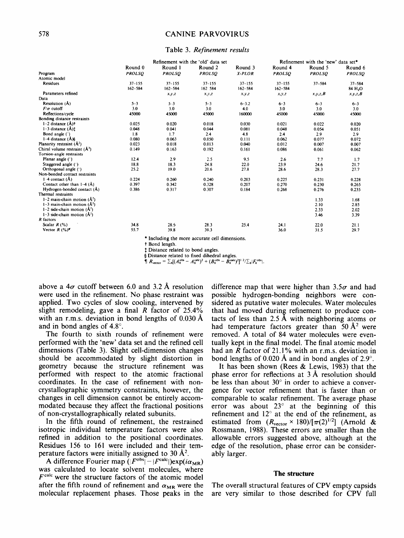## **578 CANINE PARVOVIRUS**

#### **Table** 3. *Refinement results*

|                                                     |               | Refinement with the 'old' data set |                                                |             | Refinement with the 'new' data set* |               |                     |  |
|-----------------------------------------------------|---------------|------------------------------------|------------------------------------------------|-------------|-------------------------------------|---------------|---------------------|--|
|                                                     | Round 0       | Round 1                            | Round <sub>2</sub>                             | Round 3     | Round 4                             | Round 5       | Round 6             |  |
| Program                                             | <b>PROLSO</b> | <b>PROLSO</b>                      | <b>PROLSO</b>                                  | X-PLOR      | <b>PROLSO</b>                       | <b>PROLSO</b> | <b>PROLSO</b>       |  |
| Atomic model                                        |               |                                    |                                                |             |                                     |               |                     |  |
| <b>Residues</b>                                     | $37 - 155$    | $37 - 155$                         | $37 - 155$                                     | $37 - 155$  | $37 - 155$                          | $37 - 584$    | $37 - 584$          |  |
|                                                     | $162 - 584$   | $162 - 584$                        | 162 584                                        | $162 - 584$ | $162 - 584$                         |               | 84 H <sub>2</sub> O |  |
| Parameters refined                                  |               | X, Y, Z                            | x, y, z                                        | x, y, z     | x, y, z                             | x, y, z, B    | x, y, z, B          |  |
| Data                                                |               |                                    |                                                |             |                                     |               |                     |  |
| Resolution $(A)$                                    | $5 - 3$       | $5 - 3$                            | $5 - 3$                                        | $6 - 3.2$   | $6 - 3$                             | $6 - 3$       | $6 - 3$             |  |
| $F/\sigma$ cutoff                                   | 3.0           | 3.0                                | 3.0                                            | 4.0         | 3.0                                 | 3.0           | 3.0                 |  |
| Reflections/cycle                                   | 45000         | 45000                              | 45000                                          | 160000      | 45000                               | 45000         | 45000               |  |
| Bonding distance restraints                         |               |                                    |                                                |             |                                     |               |                     |  |
| $1-2$ distance $(A)$ †                              | 0.025         | 0.020                              | 0.018                                          | 0.030       | 0.021                               | 0.022         | 0.020               |  |
| 1-3 distance $(A)$ <sup>†</sup>                     | 0.048         | 0.041                              | 0.044                                          | 0.081       | 0.048                               | 0.054         | 0.051               |  |
| Bond angle ( <sup>o</sup> )                         | 1.8           | 1.7                                | 2.4                                            | 4.8         | 2.4                                 | 2.9           | 2.9                 |  |
| 1-4 distance $(A)\$                                 | 0.080         | 0.063                              | 0.050                                          | 0.111       | 0.062                               | 0.077         | 0.072               |  |
| Planarity restraint $(A^2)$                         | 0.023         | 0.018                              | 0.013                                          | 0.040       | 0.012                               | 0.007         | 0.007               |  |
| Chiral volume restraint (Å <sup>3</sup> )           | 0.149         | 0.163                              | 0.192                                          | 0.161       | 0.086                               | 0.061         | 0.062               |  |
| Torsion-angle restraints                            |               |                                    |                                                |             |                                     |               |                     |  |
| Planar angle $($ <sup>c</sup> )                     | 12.4          | 2.9                                | 2.5                                            | 9.5         | 2.6                                 | 7.7           | 1.7                 |  |
| Staggered angle (°)                                 | 18.8          | 18.3                               | 24.8                                           | 22.0        | 23.9                                | 24.6          | 21.7                |  |
| Orthogonal angle $($                                | 25.2          | 19.0                               | 20.6                                           | 27.8        | 28.6                                | 28.3          | 27.7                |  |
| Non-bonded contact restraints                       |               |                                    |                                                |             |                                     |               |                     |  |
| $1-4$ contact $(A)$                                 | 0.224         | 0.260                              | 0.240                                          | 0.203       | 0.225                               | 0.231         | 0.228               |  |
| Contact other than $1-4(A)$                         | 0.397         | 0.342                              | 0.328                                          | 0.207       | 0.270                               | 0.230         | 0.265               |  |
| Hydrogen-bonded contact (Å)                         | 0.386         | 0.317                              | 0.307                                          | 0.184       | 0.268                               | 0.276         | 0.235               |  |
| Thermal restraints                                  |               |                                    |                                                |             |                                     |               |                     |  |
| $1-2$ main-chain motion $(A^2)$                     |               |                                    |                                                |             |                                     | 1.33          | 1.68                |  |
| $1-3$ main-chain motion $(A^2)$                     |               |                                    |                                                |             |                                     | 2.10          | 2.85                |  |
| $1-2$ side-chain motion $(A^2)$                     |               |                                    |                                                |             |                                     | 2.33          | 2.02                |  |
| $1-3$ side-chain motion $(A^2)$                     |               |                                    |                                                |             |                                     | 3.46          | 3.39                |  |
| R factors                                           |               |                                    |                                                |             |                                     |               |                     |  |
| Scalar $R(%)$                                       | 34.8          | 28.5                               | 28.3                                           | 25.4        | 24.1                                | 22.0          | 21.1                |  |
| Vector $R$ (%) <sup><math>\blacksquare</math></sup> | 55.7          | 39.8                               | 39.3                                           |             | 36.0                                | 31.5          | 29.7                |  |
|                                                     |               |                                    | * Including the more accurate cell dimensions. |             |                                     |               |                     |  |

 $\dagger$  Bond length.

**:1: Distance related to bond angles.** 

§ Distance related to fixed dihedral angles.<br>  $\oint R_{\text{vector}} = \sum_k [(\mathcal{A}_k^{\text{obs}} - \mathcal{A}_k^{\text{calc}})^2 + (\mathcal{B}_k^{\text{obs}} - \mathcal{B}_k^{\text{calc}})^2]^{1/2} / \sum_k |\mathcal{F}_k^{\text{obs}}|$ .

above a  $4\sigma$  cutoff between 6.0 and 3.2 Å resolution **were used in the refinement. No phase restraint was applied. Two cycles of slow cooling, intervened by slight remodeling, gave a final R factor of 25.4% with an r.m.s, deviation in bond lengths of 0.030 A and in bond angles of 4.8 ° .** 

**The fourth to sixth rounds of refinement were performed with the 'new' data set and the refined cell dimensions (Table 3). Slight cell-dimension changes should be accommodated by slight distortion in geometry because the structure refinement was performed with respect to the atomic fractional coordinates. In the case of refinement with noncrystallographic symmetry constraints, however, the changes in cell dimension cannot be entirely accommodated because they affect the fractional positions of non-crystallographically related subunits.** 

**In the fifth round of refinement, the restrained isotropic individual temperature factors were also refined in addition to the positional coordinates. Residues 156 to 161 were included and their temperature factors were initially assigned to 30**  $\AA$ **<sup>2</sup>.** 

A difference Fourier map  $(|F^{obs}| - |F^{calc}|)exp(i\alpha_{MR})$ **was calculated to locate solvent molecules, where**   $F<sup>calc</sup>$  were the structure factors of the atomic model after the fifth round of refinement and  $\alpha_{MR}$  were the **molecular replacement phases. Those peaks in the**  difference map that were higher than  $3.5\sigma$  and had **possible hydrogen-bonding neighbors were considered as putative water molecules. Water molecules**  that had moved during refinement to produce con**tacts of less than 2.5 A with neighboring atoms or**  had temperature factors greater than  $50 \text{ Å}^2$  were **removed. A total of 84 water molecules were eventually kept in the final model. The final atomic model had an R factor of 21.1% with an r.m.s, deviation in**  bond lengths of 0.020 Å and in bond angles of 2.9°.

**It has been shown (Rees & Lewis, 1983) that the phase error for reflections at 3 A resolution should**  be less than about 30° in order to achieve a conver**gence for vector refinement that is faster than or comparable to scalar refinement. The average phase**  error was about 23° at the beginning of this refinement and 12° at the end of the refinement, as estimated from  $(R_{\text{vector}} \times 180)/[\pi(2)^{1/2}]$  (Arnold & **Rossmann, 1988). These errors are smaller than the allowable errors suggested above, although at the edge of the resolution, phase error can be considerably larger.** 

### **The structure**

**The overall structural features of CPV empty capsids are very similar to those described for CPV full**